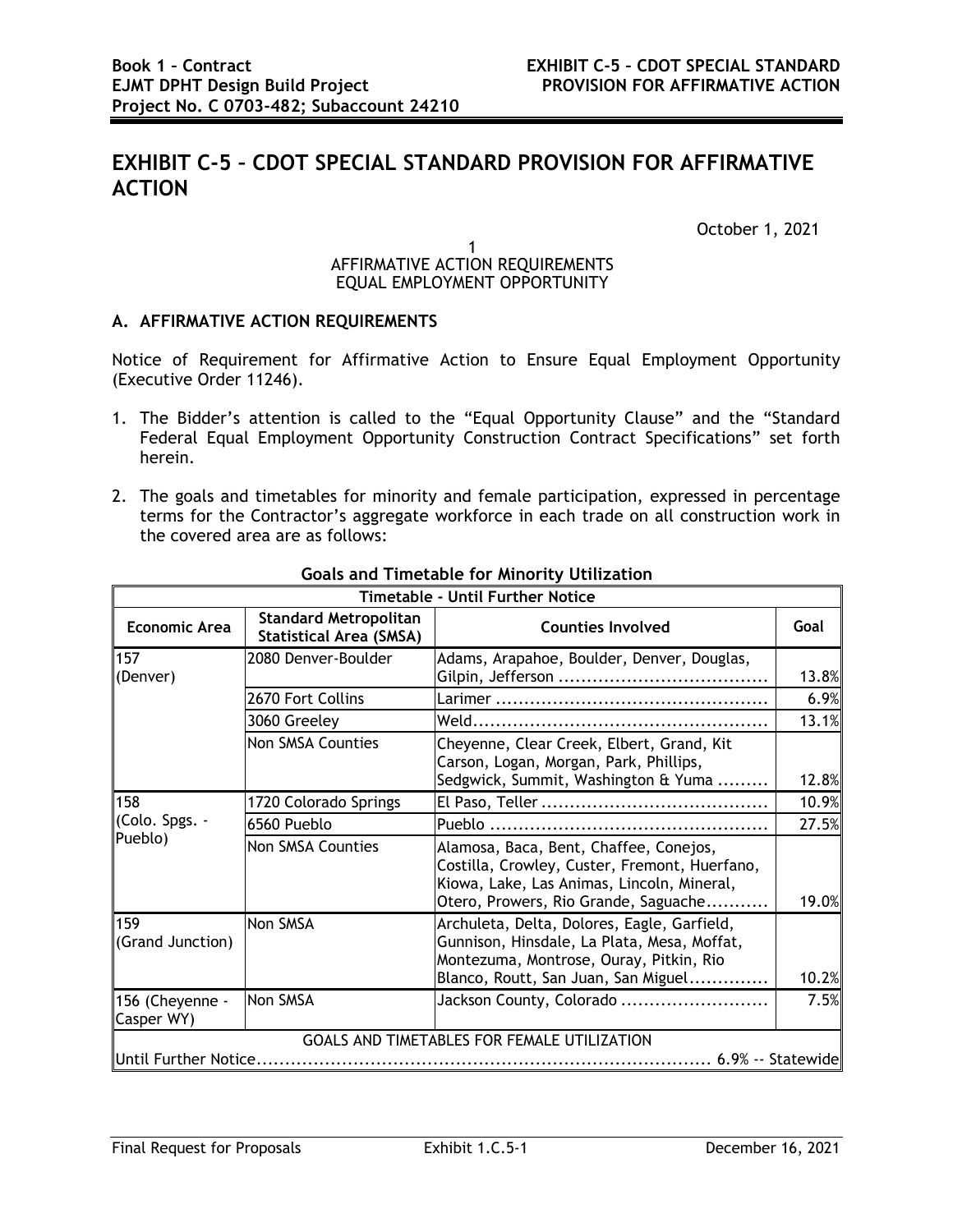## **EXHIBIT C-5 – CDOT SPECIAL STANDARD PROVISION FOR AFFIRMATIVE ACTION**

October 1, 2021

#### 1 AFFIRMATIVE ACTION REQUIREMENTS EQUAL EMPLOYMENT OPPORTUNITY

#### **A. AFFIRMATIVE ACTION REQUIREMENTS**

Notice of Requirement for Affirmative Action to Ensure Equal Employment Opportunity (Executive Order 11246).

- 1. The Bidder's attention is called to the "Equal Opportunity Clause" and the "Standard Federal Equal Employment Opportunity Construction Contract Specifications" set forth herein.
- 2. The goals and timetables for minority and female participation, expressed in percentage terms for the Contractor's aggregate workforce in each trade on all construction work in the covered area are as follows:

| <b>Economic Area</b>             | <b>Standard Metropolitan</b><br><b>Statistical Area (SMSA)</b> | <b>Counties Involved</b>                                                                                                                                                      | Goal  |
|----------------------------------|----------------------------------------------------------------|-------------------------------------------------------------------------------------------------------------------------------------------------------------------------------|-------|
| 157<br>(Denver)                  | 2080 Denver-Boulder                                            | Adams, Arapahoe, Boulder, Denver, Douglas,                                                                                                                                    | 13.8% |
|                                  | 2670 Fort Collins                                              |                                                                                                                                                                               | 6.9%  |
|                                  | 3060 Greeley                                                   |                                                                                                                                                                               | 13.1% |
|                                  | Non SMSA Counties                                              | Cheyenne, Clear Creek, Elbert, Grand, Kit<br>Carson, Logan, Morgan, Park, Phillips,<br>Sedgwick, Summit, Washington & Yuma                                                    | 12.8% |
| 158<br>(Colo. Spgs. -<br>Pueblo) | 1720 Colorado Springs                                          |                                                                                                                                                                               | 10.9% |
|                                  | 6560 Pueblo                                                    |                                                                                                                                                                               | 27.5% |
|                                  | Non SMSA Counties                                              | Alamosa, Baca, Bent, Chaffee, Conejos,<br>Costilla, Crowley, Custer, Fremont, Huerfano,<br>Kiowa, Lake, Las Animas, Lincoln, Mineral,<br>Otero, Prowers, Rio Grande, Saguache | 19.0% |
| 159<br>(Grand Junction)          | Non SMSA                                                       | Archuleta, Delta, Dolores, Eagle, Garfield,<br>Gunnison, Hinsdale, La Plata, Mesa, Moffat,<br>Montezuma, Montrose, Ouray, Pitkin, Rio<br>Blanco, Routt, San Juan, San Miguel  | 10.2% |
| 156 (Cheyenne -<br>Casper WY)    | Non SMSA                                                       | Jackson County, Colorado                                                                                                                                                      | 7.5%  |
|                                  |                                                                | <b>GOALS AND TIMETABLES FOR FEMALE UTILIZATION</b><br>6.9% -- Statewidel                                                                                                      |       |

# **Goals and Timetable for Minority Utilization**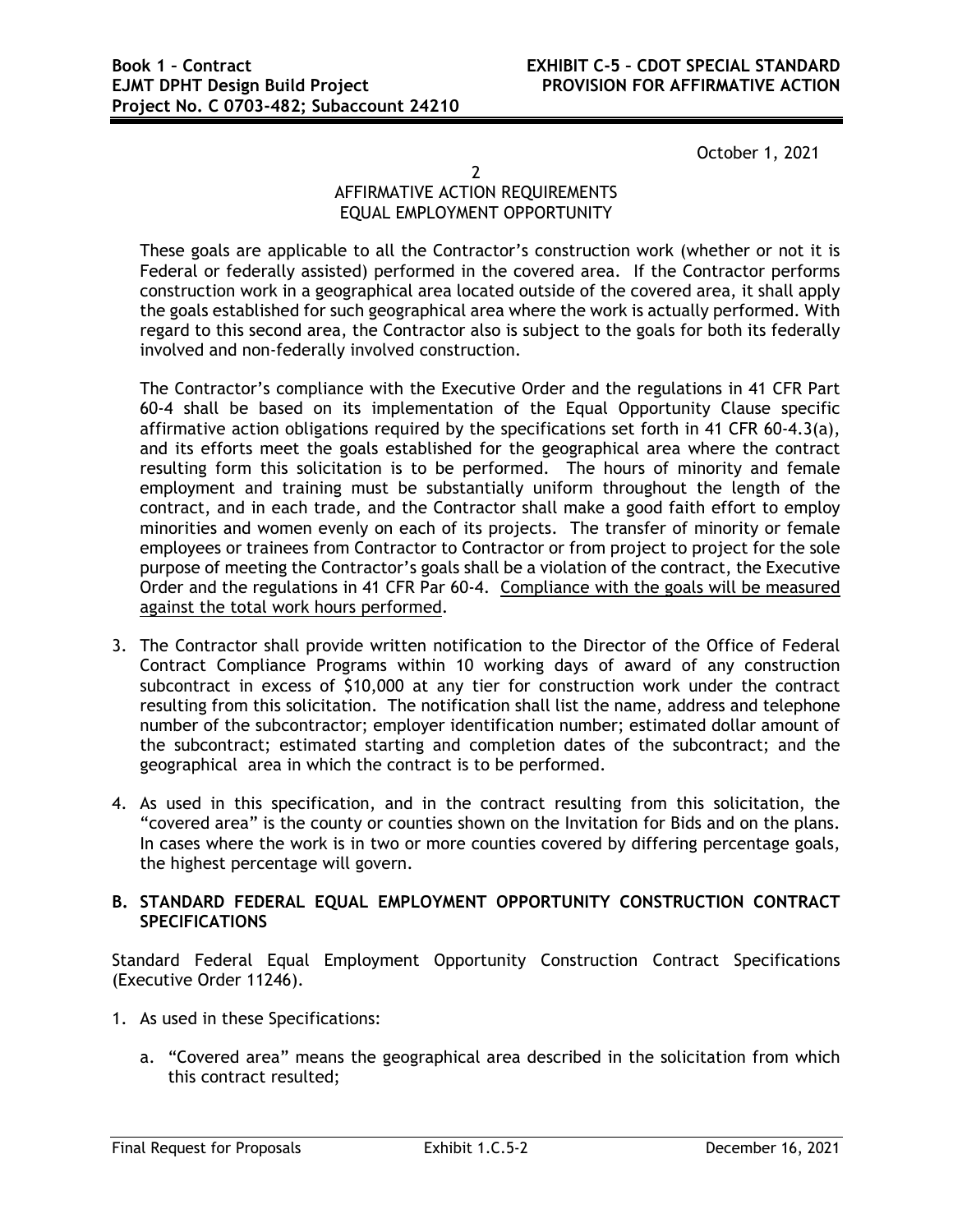#### 2 AFFIRMATIVE ACTION REQUIREMENTS EQUAL EMPLOYMENT OPPORTUNITY

These goals are applicable to all the Contractor's construction work (whether or not it is Federal or federally assisted) performed in the covered area. If the Contractor performs construction work in a geographical area located outside of the covered area, it shall apply the goals established for such geographical area where the work is actually performed. With regard to this second area, the Contractor also is subject to the goals for both its federally involved and non-federally involved construction.

The Contractor's compliance with the Executive Order and the regulations in 41 CFR Part 60-4 shall be based on its implementation of the Equal Opportunity Clause specific affirmative action obligations required by the specifications set forth in 41 CFR 60-4.3(a), and its efforts meet the goals established for the geographical area where the contract resulting form this solicitation is to be performed. The hours of minority and female employment and training must be substantially uniform throughout the length of the contract, and in each trade, and the Contractor shall make a good faith effort to employ minorities and women evenly on each of its projects. The transfer of minority or female employees or trainees from Contractor to Contractor or from project to project for the sole purpose of meeting the Contractor's goals shall be a violation of the contract, the Executive Order and the regulations in 41 CFR Par 60-4. Compliance with the goals will be measured against the total work hours performed.

- 3. The Contractor shall provide written notification to the Director of the Office of Federal Contract Compliance Programs within 10 working days of award of any construction subcontract in excess of \$10,000 at any tier for construction work under the contract resulting from this solicitation. The notification shall list the name, address and telephone number of the subcontractor; employer identification number; estimated dollar amount of the subcontract; estimated starting and completion dates of the subcontract; and the geographical area in which the contract is to be performed.
- 4. As used in this specification, and in the contract resulting from this solicitation, the "covered area" is the county or counties shown on the Invitation for Bids and on the plans. In cases where the work is in two or more counties covered by differing percentage goals, the highest percentage will govern.

#### **B. STANDARD FEDERAL EQUAL EMPLOYMENT OPPORTUNITY CONSTRUCTION CONTRACT SPECIFICATIONS**

Standard Federal Equal Employment Opportunity Construction Contract Specifications (Executive Order 11246).

- 1. As used in these Specifications:
	- a. "Covered area" means the geographical area described in the solicitation from which this contract resulted;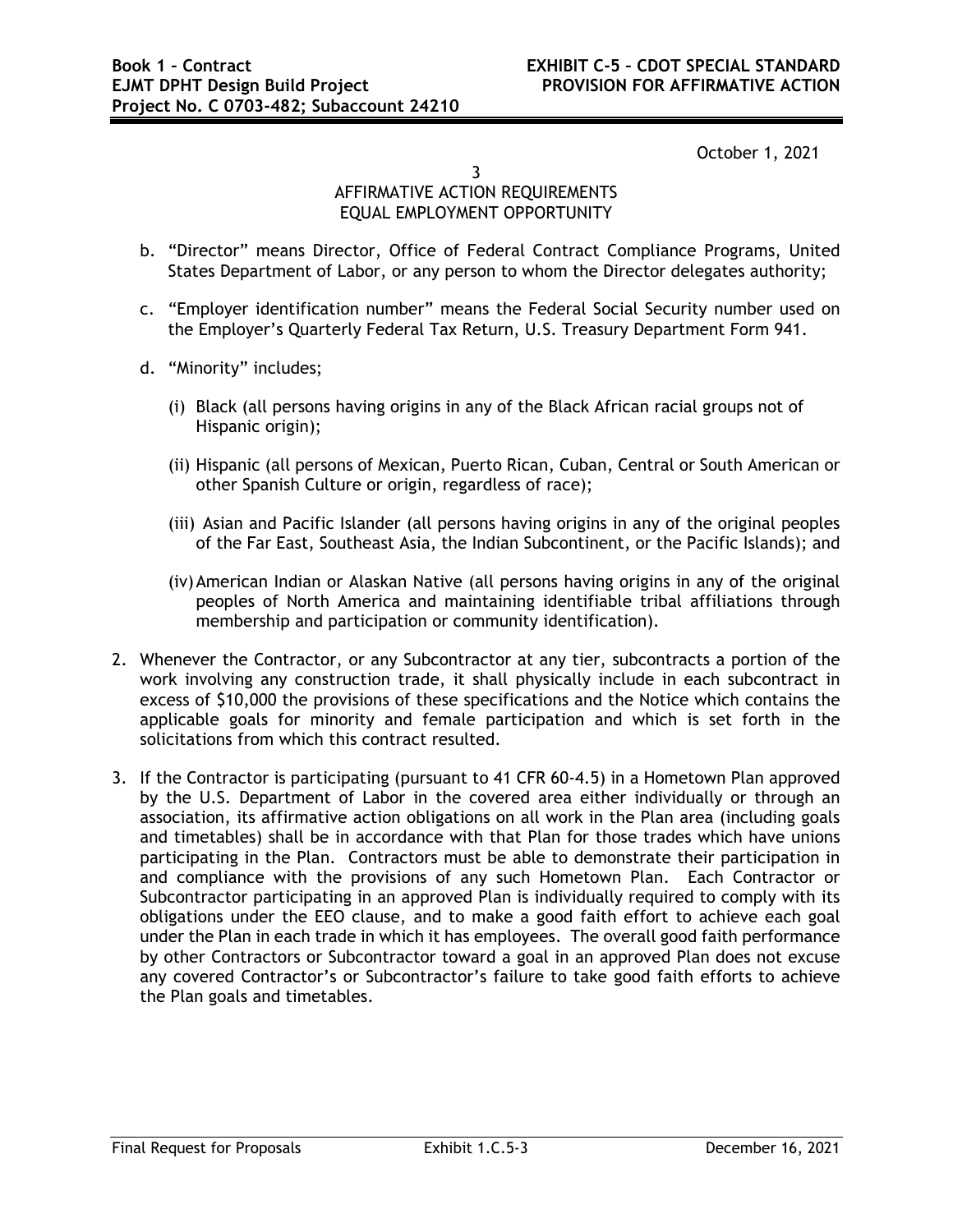- b. "Director" means Director, Office of Federal Contract Compliance Programs, United States Department of Labor, or any person to whom the Director delegates authority;
- c. "Employer identification number" means the Federal Social Security number used on the Employer's Quarterly Federal Tax Return, U.S. Treasury Department Form 941.
- d. "Minority" includes;
	- (i) Black (all persons having origins in any of the Black African racial groups not of Hispanic origin);
	- (ii) Hispanic (all persons of Mexican, Puerto Rican, Cuban, Central or South American or other Spanish Culture or origin, regardless of race);
	- (iii) Asian and Pacific Islander (all persons having origins in any of the original peoples of the Far East, Southeast Asia, the Indian Subcontinent, or the Pacific Islands); and
	- (iv) American Indian or Alaskan Native (all persons having origins in any of the original peoples of North America and maintaining identifiable tribal affiliations through membership and participation or community identification).
- 2. Whenever the Contractor, or any Subcontractor at any tier, subcontracts a portion of the work involving any construction trade, it shall physically include in each subcontract in excess of \$10,000 the provisions of these specifications and the Notice which contains the applicable goals for minority and female participation and which is set forth in the solicitations from which this contract resulted.
- 3. If the Contractor is participating (pursuant to 41 CFR 60-4.5) in a Hometown Plan approved by the U.S. Department of Labor in the covered area either individually or through an association, its affirmative action obligations on all work in the Plan area (including goals and timetables) shall be in accordance with that Plan for those trades which have unions participating in the Plan. Contractors must be able to demonstrate their participation in and compliance with the provisions of any such Hometown Plan. Each Contractor or Subcontractor participating in an approved Plan is individually required to comply with its obligations under the EEO clause, and to make a good faith effort to achieve each goal under the Plan in each trade in which it has employees. The overall good faith performance by other Contractors or Subcontractor toward a goal in an approved Plan does not excuse any covered Contractor's or Subcontractor's failure to take good faith efforts to achieve the Plan goals and timetables.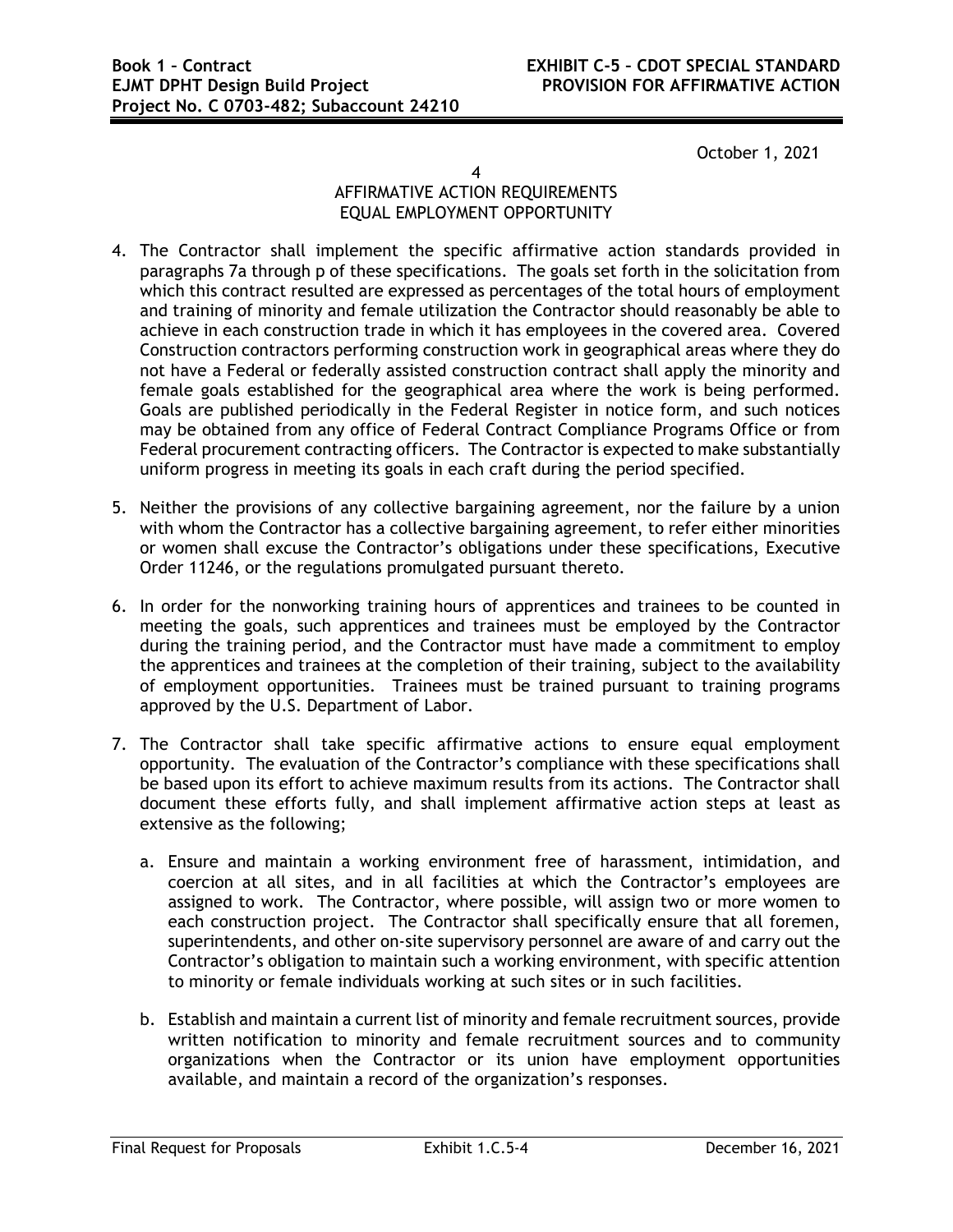- 4. The Contractor shall implement the specific affirmative action standards provided in paragraphs 7a through p of these specifications. The goals set forth in the solicitation from which this contract resulted are expressed as percentages of the total hours of employment and training of minority and female utilization the Contractor should reasonably be able to achieve in each construction trade in which it has employees in the covered area. Covered Construction contractors performing construction work in geographical areas where they do not have a Federal or federally assisted construction contract shall apply the minority and female goals established for the geographical area where the work is being performed. Goals are published periodically in the Federal Register in notice form, and such notices may be obtained from any office of Federal Contract Compliance Programs Office or from Federal procurement contracting officers. The Contractor is expected to make substantially uniform progress in meeting its goals in each craft during the period specified.
- 5. Neither the provisions of any collective bargaining agreement, nor the failure by a union with whom the Contractor has a collective bargaining agreement, to refer either minorities or women shall excuse the Contractor's obligations under these specifications, Executive Order 11246, or the regulations promulgated pursuant thereto.
- 6. In order for the nonworking training hours of apprentices and trainees to be counted in meeting the goals, such apprentices and trainees must be employed by the Contractor during the training period, and the Contractor must have made a commitment to employ the apprentices and trainees at the completion of their training, subject to the availability of employment opportunities. Trainees must be trained pursuant to training programs approved by the U.S. Department of Labor.
- 7. The Contractor shall take specific affirmative actions to ensure equal employment opportunity. The evaluation of the Contractor's compliance with these specifications shall be based upon its effort to achieve maximum results from its actions. The Contractor shall document these efforts fully, and shall implement affirmative action steps at least as extensive as the following;
	- a. Ensure and maintain a working environment free of harassment, intimidation, and coercion at all sites, and in all facilities at which the Contractor's employees are assigned to work. The Contractor, where possible, will assign two or more women to each construction project. The Contractor shall specifically ensure that all foremen, superintendents, and other on-site supervisory personnel are aware of and carry out the Contractor's obligation to maintain such a working environment, with specific attention to minority or female individuals working at such sites or in such facilities.
	- b. Establish and maintain a current list of minority and female recruitment sources, provide written notification to minority and female recruitment sources and to community organizations when the Contractor or its union have employment opportunities available, and maintain a record of the organization's responses.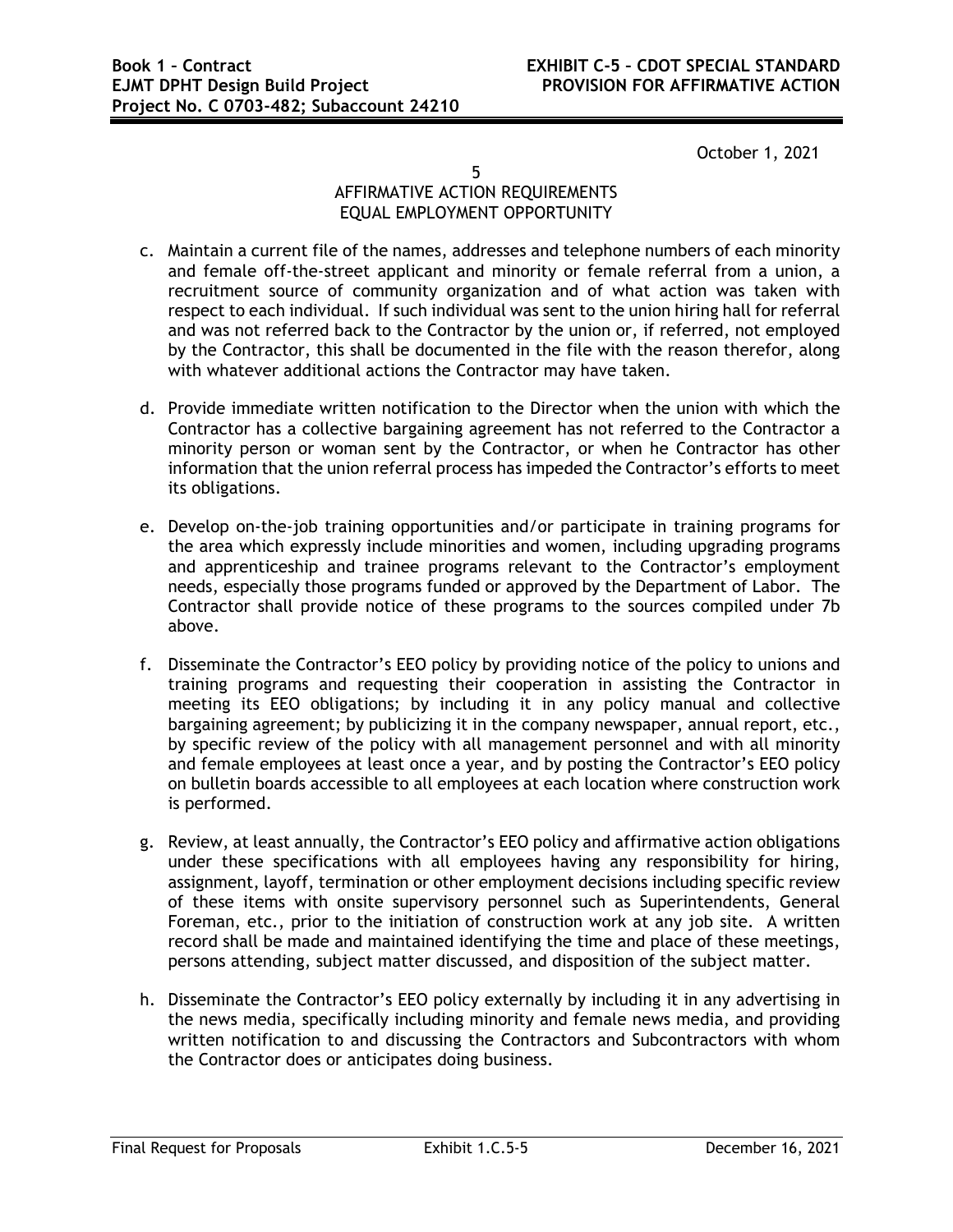- c. Maintain a current file of the names, addresses and telephone numbers of each minority and female off-the-street applicant and minority or female referral from a union, a recruitment source of community organization and of what action was taken with respect to each individual. If such individual was sent to the union hiring hall for referral and was not referred back to the Contractor by the union or, if referred, not employed by the Contractor, this shall be documented in the file with the reason therefor, along with whatever additional actions the Contractor may have taken.
- d. Provide immediate written notification to the Director when the union with which the Contractor has a collective bargaining agreement has not referred to the Contractor a minority person or woman sent by the Contractor, or when he Contractor has other information that the union referral process has impeded the Contractor's efforts to meet its obligations.
- e. Develop on-the-job training opportunities and/or participate in training programs for the area which expressly include minorities and women, including upgrading programs and apprenticeship and trainee programs relevant to the Contractor's employment needs, especially those programs funded or approved by the Department of Labor. The Contractor shall provide notice of these programs to the sources compiled under 7b above.
- f. Disseminate the Contractor's EEO policy by providing notice of the policy to unions and training programs and requesting their cooperation in assisting the Contractor in meeting its EEO obligations; by including it in any policy manual and collective bargaining agreement; by publicizing it in the company newspaper, annual report, etc., by specific review of the policy with all management personnel and with all minority and female employees at least once a year, and by posting the Contractor's EEO policy on bulletin boards accessible to all employees at each location where construction work is performed.
- g. Review, at least annually, the Contractor's EEO policy and affirmative action obligations under these specifications with all employees having any responsibility for hiring, assignment, layoff, termination or other employment decisions including specific review of these items with onsite supervisory personnel such as Superintendents, General Foreman, etc., prior to the initiation of construction work at any job site. A written record shall be made and maintained identifying the time and place of these meetings, persons attending, subject matter discussed, and disposition of the subject matter.
- h. Disseminate the Contractor's EEO policy externally by including it in any advertising in the news media, specifically including minority and female news media, and providing written notification to and discussing the Contractors and Subcontractors with whom the Contractor does or anticipates doing business.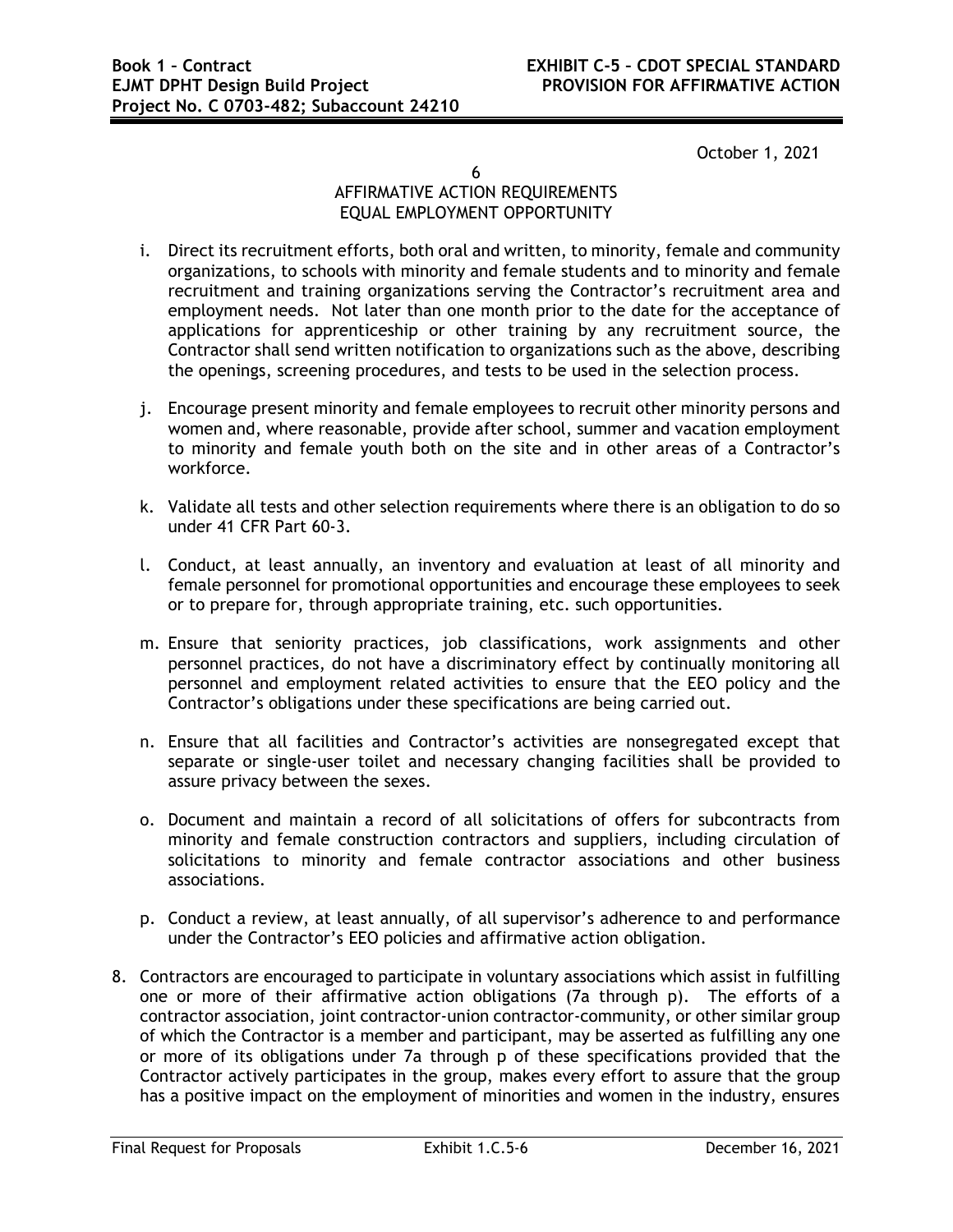- i. Direct its recruitment efforts, both oral and written, to minority, female and community organizations, to schools with minority and female students and to minority and female recruitment and training organizations serving the Contractor's recruitment area and employment needs. Not later than one month prior to the date for the acceptance of applications for apprenticeship or other training by any recruitment source, the Contractor shall send written notification to organizations such as the above, describing the openings, screening procedures, and tests to be used in the selection process.
- j. Encourage present minority and female employees to recruit other minority persons and women and, where reasonable, provide after school, summer and vacation employment to minority and female youth both on the site and in other areas of a Contractor's workforce.
- k. Validate all tests and other selection requirements where there is an obligation to do so under 41 CFR Part 60-3.
- l. Conduct, at least annually, an inventory and evaluation at least of all minority and female personnel for promotional opportunities and encourage these employees to seek or to prepare for, through appropriate training, etc. such opportunities.
- m. Ensure that seniority practices, job classifications, work assignments and other personnel practices, do not have a discriminatory effect by continually monitoring all personnel and employment related activities to ensure that the EEO policy and the Contractor's obligations under these specifications are being carried out.
- n. Ensure that all facilities and Contractor's activities are nonsegregated except that separate or single-user toilet and necessary changing facilities shall be provided to assure privacy between the sexes.
- o. Document and maintain a record of all solicitations of offers for subcontracts from minority and female construction contractors and suppliers, including circulation of solicitations to minority and female contractor associations and other business associations.
- p. Conduct a review, at least annually, of all supervisor's adherence to and performance under the Contractor's EEO policies and affirmative action obligation.
- 8. Contractors are encouraged to participate in voluntary associations which assist in fulfilling one or more of their affirmative action obligations (7a through p). The efforts of a contractor association, joint contractor-union contractor-community, or other similar group of which the Contractor is a member and participant, may be asserted as fulfilling any one or more of its obligations under 7a through p of these specifications provided that the Contractor actively participates in the group, makes every effort to assure that the group has a positive impact on the employment of minorities and women in the industry, ensures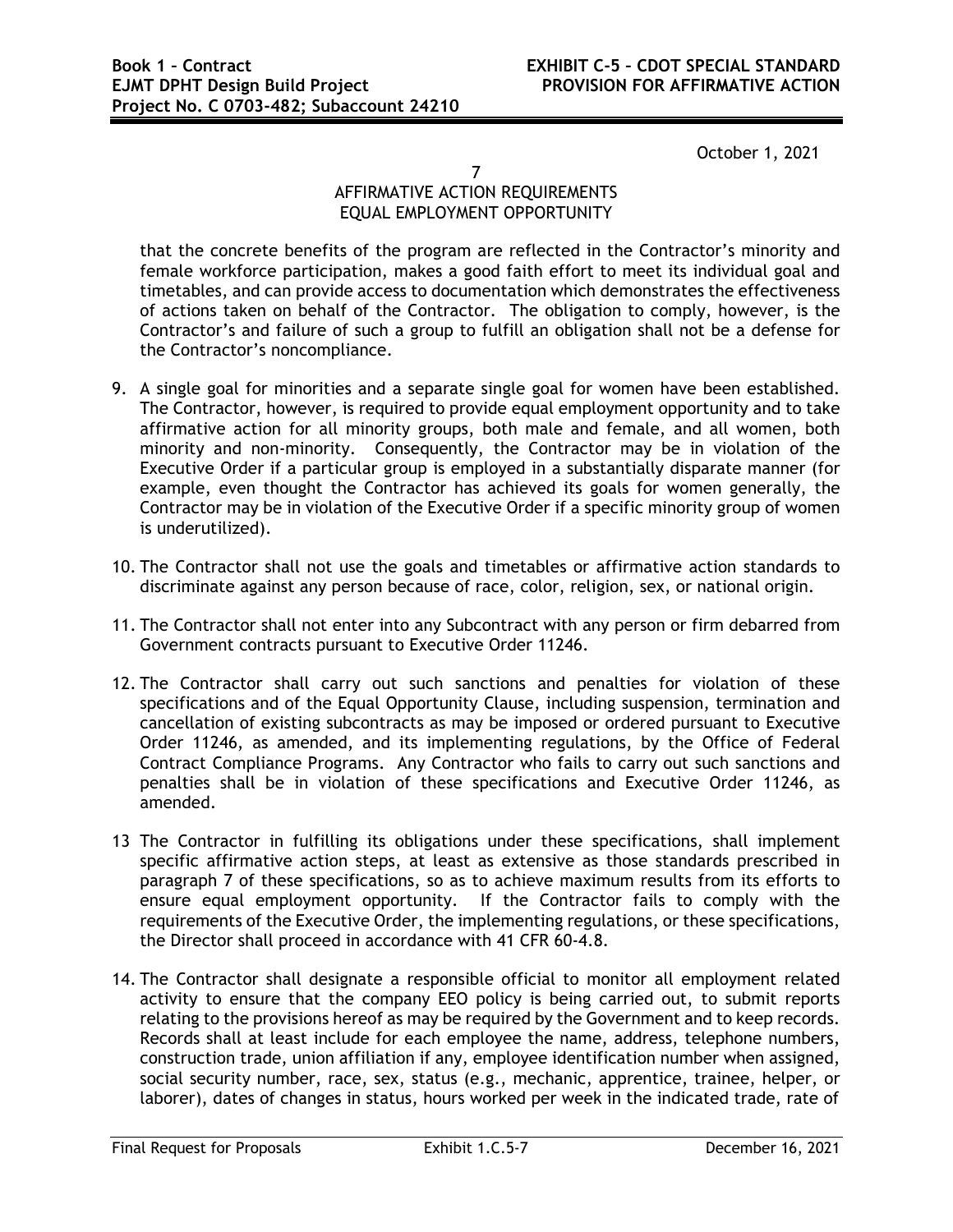#### 7 AFFIRMATIVE ACTION REQUIREMENTS EQUAL EMPLOYMENT OPPORTUNITY

that the concrete benefits of the program are reflected in the Contractor's minority and female workforce participation, makes a good faith effort to meet its individual goal and timetables, and can provide access to documentation which demonstrates the effectiveness of actions taken on behalf of the Contractor. The obligation to comply, however, is the Contractor's and failure of such a group to fulfill an obligation shall not be a defense for the Contractor's noncompliance.

- 9. A single goal for minorities and a separate single goal for women have been established. The Contractor, however, is required to provide equal employment opportunity and to take affirmative action for all minority groups, both male and female, and all women, both minority and non-minority. Consequently, the Contractor may be in violation of the Executive Order if a particular group is employed in a substantially disparate manner (for example, even thought the Contractor has achieved its goals for women generally, the Contractor may be in violation of the Executive Order if a specific minority group of women is underutilized).
- 10. The Contractor shall not use the goals and timetables or affirmative action standards to discriminate against any person because of race, color, religion, sex, or national origin.
- 11. The Contractor shall not enter into any Subcontract with any person or firm debarred from Government contracts pursuant to Executive Order 11246.
- 12. The Contractor shall carry out such sanctions and penalties for violation of these specifications and of the Equal Opportunity Clause, including suspension, termination and cancellation of existing subcontracts as may be imposed or ordered pursuant to Executive Order 11246, as amended, and its implementing regulations, by the Office of Federal Contract Compliance Programs. Any Contractor who fails to carry out such sanctions and penalties shall be in violation of these specifications and Executive Order 11246, as amended.
- 13 The Contractor in fulfilling its obligations under these specifications, shall implement specific affirmative action steps, at least as extensive as those standards prescribed in paragraph 7 of these specifications, so as to achieve maximum results from its efforts to ensure equal employment opportunity. If the Contractor fails to comply with the requirements of the Executive Order, the implementing regulations, or these specifications, the Director shall proceed in accordance with 41 CFR 60-4.8.
- 14. The Contractor shall designate a responsible official to monitor all employment related activity to ensure that the company EEO policy is being carried out, to submit reports relating to the provisions hereof as may be required by the Government and to keep records. Records shall at least include for each employee the name, address, telephone numbers, construction trade, union affiliation if any, employee identification number when assigned, social security number, race, sex, status (e.g., mechanic, apprentice, trainee, helper, or laborer), dates of changes in status, hours worked per week in the indicated trade, rate of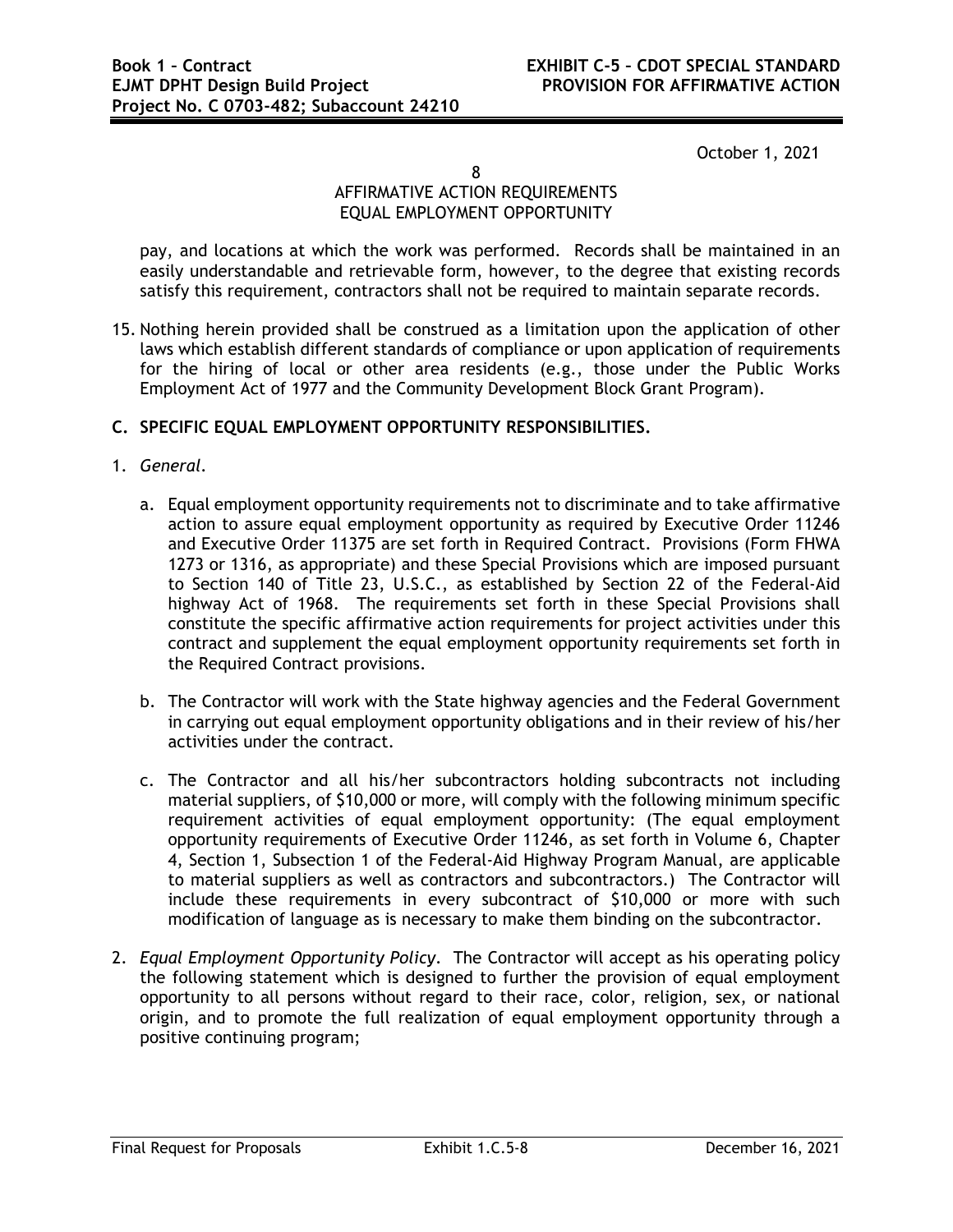#### 8 AFFIRMATIVE ACTION REQUIREMENTS EQUAL EMPLOYMENT OPPORTUNITY

pay, and locations at which the work was performed. Records shall be maintained in an easily understandable and retrievable form, however, to the degree that existing records satisfy this requirement, contractors shall not be required to maintain separate records.

 15. Nothing herein provided shall be construed as a limitation upon the application of other laws which establish different standards of compliance or upon application of requirements for the hiring of local or other area residents (e.g., those under the Public Works Employment Act of 1977 and the Community Development Block Grant Program).

### **C. SPECIFIC EQUAL EMPLOYMENT OPPORTUNITY RESPONSIBILITIES.**

- 1. *General.*
	- a. Equal employment opportunity requirements not to discriminate and to take affirmative action to assure equal employment opportunity as required by Executive Order 11246 and Executive Order 11375 are set forth in Required Contract. Provisions (Form FHWA 1273 or 1316, as appropriate) and these Special Provisions which are imposed pursuant to Section 140 of Title 23, U.S.C., as established by Section 22 of the Federal-Aid highway Act of 1968. The requirements set forth in these Special Provisions shall constitute the specific affirmative action requirements for project activities under this contract and supplement the equal employment opportunity requirements set forth in the Required Contract provisions.
	- b. The Contractor will work with the State highway agencies and the Federal Government in carrying out equal employment opportunity obligations and in their review of his/her activities under the contract.
	- c. The Contractor and all his/her subcontractors holding subcontracts not including material suppliers, of \$10,000 or more, will comply with the following minimum specific requirement activities of equal employment opportunity: (The equal employment opportunity requirements of Executive Order 11246, as set forth in Volume 6, Chapter 4, Section 1, Subsection 1 of the Federal-Aid Highway Program Manual, are applicable to material suppliers as well as contractors and subcontractors.) The Contractor will include these requirements in every subcontract of \$10,000 or more with such modification of language as is necessary to make them binding on the subcontractor.
- 2. *Equal Employment Opportunity Policy*. The Contractor will accept as his operating policy the following statement which is designed to further the provision of equal employment opportunity to all persons without regard to their race, color, religion, sex, or national origin, and to promote the full realization of equal employment opportunity through a positive continuing program;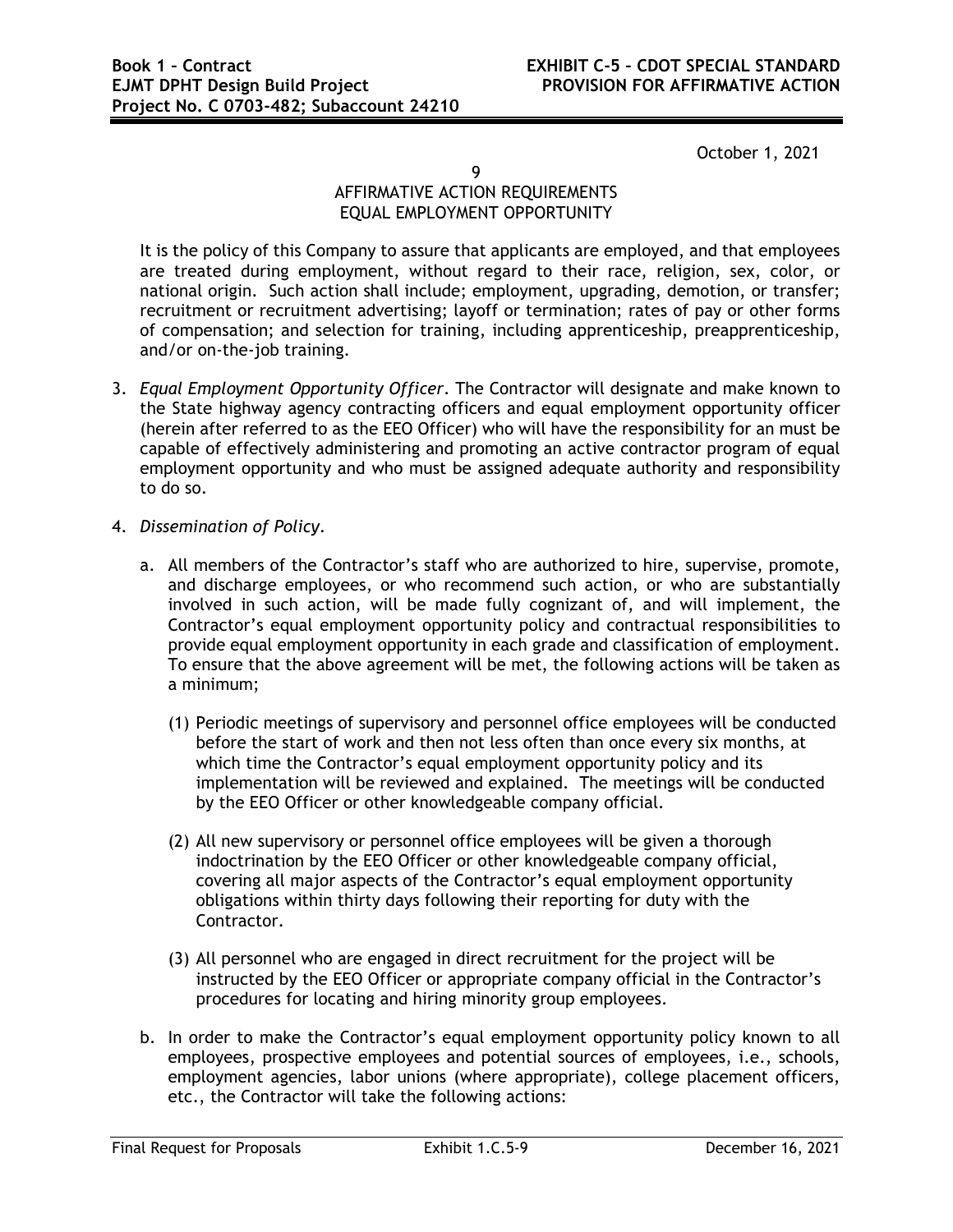#### 9 AFFIRMATIVE ACTION REQUIREMENTS EQUAL EMPLOYMENT OPPORTUNITY

It is the policy of this Company to assure that applicants are employed, and that employees are treated during employment, without regard to their race, religion, sex, color, or national origin. Such action shall include; employment, upgrading, demotion, or transfer; recruitment or recruitment advertising; layoff or termination; rates of pay or other forms of compensation; and selection for training, including apprenticeship, preapprenticeship, and/or on-the-job training.

- 3. *Equal Employment Opportunity Officer*. The Contractor will designate and make known to the State highway agency contracting officers and equal employment opportunity officer (herein after referred to as the EEO Officer) who will have the responsibility for an must be capable of effectively administering and promoting an active contractor program of equal employment opportunity and who must be assigned adequate authority and responsibility to do so.
- 4. *Dissemination of Policy*.
	- a. All members of the Contractor's staff who are authorized to hire, supervise, promote, and discharge employees, or who recommend such action, or who are substantially involved in such action, will be made fully cognizant of, and will implement, the Contractor's equal employment opportunity policy and contractual responsibilities to provide equal employment opportunity in each grade and classification of employment. To ensure that the above agreement will be met, the following actions will be taken as a minimum;
		- (1) Periodic meetings of supervisory and personnel office employees will be conducted before the start of work and then not less often than once every six months, at which time the Contractor's equal employment opportunity policy and its implementation will be reviewed and explained. The meetings will be conducted by the EEO Officer or other knowledgeable company official.
		- (2) All new supervisory or personnel office employees will be given a thorough indoctrination by the EEO Officer or other knowledgeable company official, covering all major aspects of the Contractor's equal employment opportunity obligations within thirty days following their reporting for duty with the Contractor.
		- (3) All personnel who are engaged in direct recruitment for the project will be instructed by the EEO Officer or appropriate company official in the Contractor's procedures for locating and hiring minority group employees.
	- b. In order to make the Contractor's equal employment opportunity policy known to all employees, prospective employees and potential sources of employees, i.e., schools, employment agencies, labor unions (where appropriate), college placement officers, etc., the Contractor will take the following actions: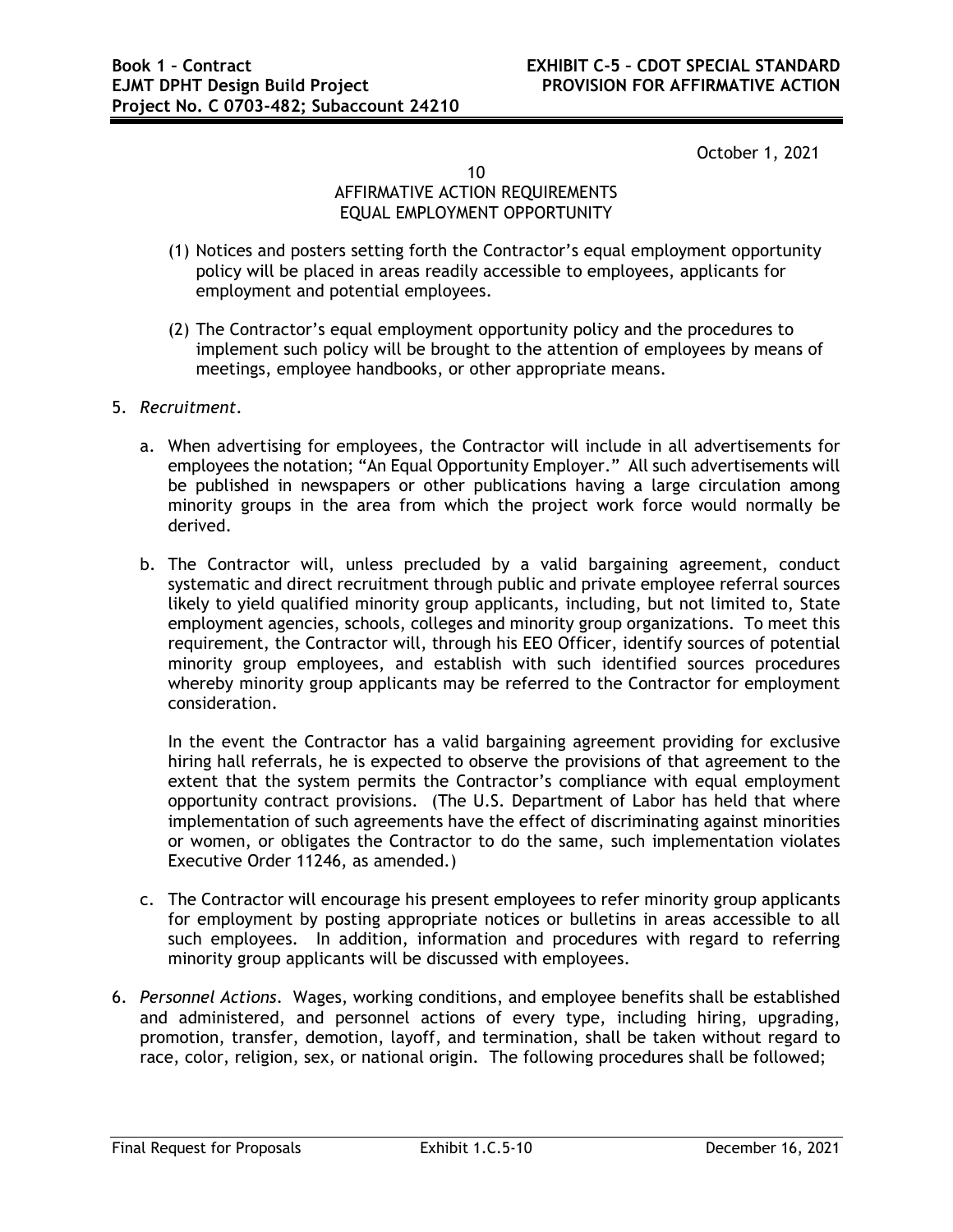#### 10 AFFIRMATIVE ACTION REQUIREMENTS EQUAL EMPLOYMENT OPPORTUNITY

- (1) Notices and posters setting forth the Contractor's equal employment opportunity policy will be placed in areas readily accessible to employees, applicants for employment and potential employees.
- (2) The Contractor's equal employment opportunity policy and the procedures to implement such policy will be brought to the attention of employees by means of meetings, employee handbooks, or other appropriate means.
- 5. *Recruitment*.
	- a. When advertising for employees, the Contractor will include in all advertisements for employees the notation; "An Equal Opportunity Employer." All such advertisements will be published in newspapers or other publications having a large circulation among minority groups in the area from which the project work force would normally be derived.
	- b. The Contractor will, unless precluded by a valid bargaining agreement, conduct systematic and direct recruitment through public and private employee referral sources likely to yield qualified minority group applicants, including, but not limited to, State employment agencies, schools, colleges and minority group organizations. To meet this requirement, the Contractor will, through his EEO Officer, identify sources of potential minority group employees, and establish with such identified sources procedures whereby minority group applicants may be referred to the Contractor for employment consideration.

In the event the Contractor has a valid bargaining agreement providing for exclusive hiring hall referrals, he is expected to observe the provisions of that agreement to the extent that the system permits the Contractor's compliance with equal employment opportunity contract provisions. (The U.S. Department of Labor has held that where implementation of such agreements have the effect of discriminating against minorities or women, or obligates the Contractor to do the same, such implementation violates Executive Order 11246, as amended.)

- c. The Contractor will encourage his present employees to refer minority group applicants for employment by posting appropriate notices or bulletins in areas accessible to all such employees. In addition, information and procedures with regard to referring minority group applicants will be discussed with employees.
- 6. *Personnel Actions*. Wages, working conditions, and employee benefits shall be established and administered, and personnel actions of every type, including hiring, upgrading, promotion, transfer, demotion, layoff, and termination, shall be taken without regard to race, color, religion, sex, or national origin. The following procedures shall be followed;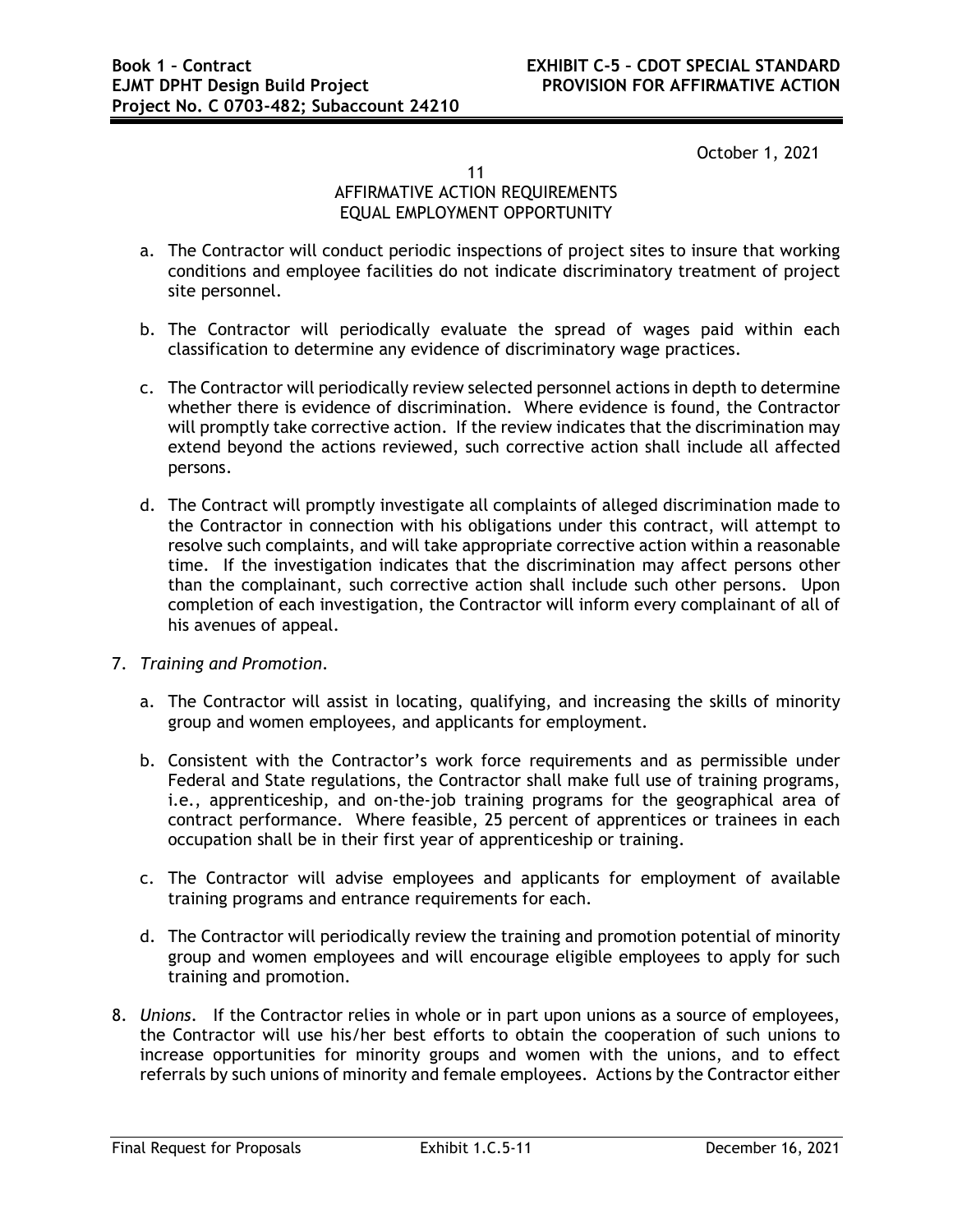- a. The Contractor will conduct periodic inspections of project sites to insure that working conditions and employee facilities do not indicate discriminatory treatment of project site personnel.
- b. The Contractor will periodically evaluate the spread of wages paid within each classification to determine any evidence of discriminatory wage practices.
- c. The Contractor will periodically review selected personnel actions in depth to determine whether there is evidence of discrimination. Where evidence is found, the Contractor will promptly take corrective action. If the review indicates that the discrimination may extend beyond the actions reviewed, such corrective action shall include all affected persons.
- d. The Contract will promptly investigate all complaints of alleged discrimination made to the Contractor in connection with his obligations under this contract, will attempt to resolve such complaints, and will take appropriate corrective action within a reasonable time. If the investigation indicates that the discrimination may affect persons other than the complainant, such corrective action shall include such other persons. Upon completion of each investigation, the Contractor will inform every complainant of all of his avenues of appeal.
- 7. *Training and Promotion*.
	- a. The Contractor will assist in locating, qualifying, and increasing the skills of minority group and women employees, and applicants for employment.
	- b. Consistent with the Contractor's work force requirements and as permissible under Federal and State regulations, the Contractor shall make full use of training programs, i.e., apprenticeship, and on-the-job training programs for the geographical area of contract performance. Where feasible, 25 percent of apprentices or trainees in each occupation shall be in their first year of apprenticeship or training.
	- c. The Contractor will advise employees and applicants for employment of available training programs and entrance requirements for each.
	- d. The Contractor will periodically review the training and promotion potential of minority group and women employees and will encourage eligible employees to apply for such training and promotion.
- 8. *Unions*. If the Contractor relies in whole or in part upon unions as a source of employees, the Contractor will use his/her best efforts to obtain the cooperation of such unions to increase opportunities for minority groups and women with the unions, and to effect referrals by such unions of minority and female employees. Actions by the Contractor either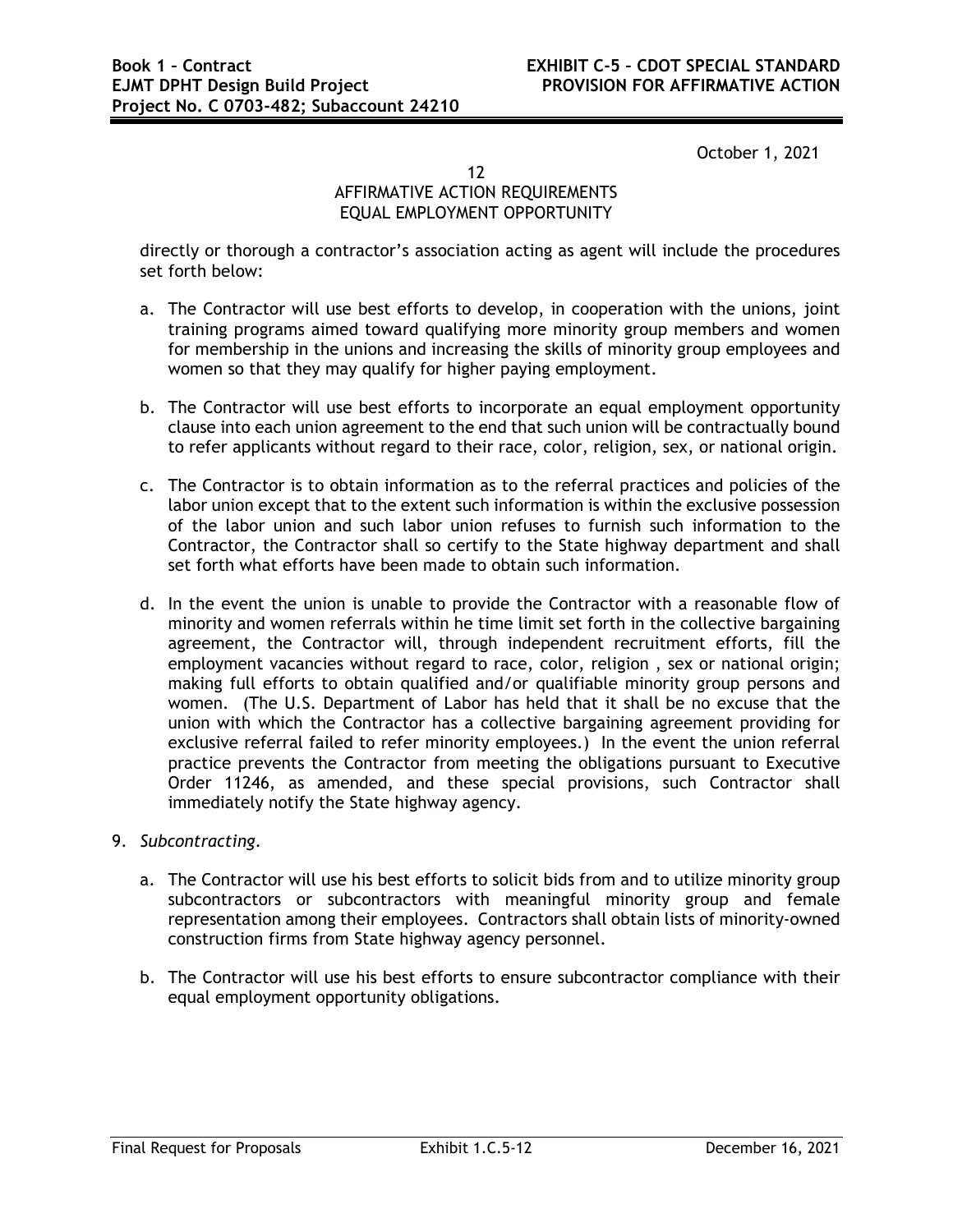#### 12 AFFIRMATIVE ACTION REQUIREMENTS EQUAL EMPLOYMENT OPPORTUNITY

directly or thorough a contractor's association acting as agent will include the procedures set forth below:

- a. The Contractor will use best efforts to develop, in cooperation with the unions, joint training programs aimed toward qualifying more minority group members and women for membership in the unions and increasing the skills of minority group employees and women so that they may qualify for higher paying employment.
- b. The Contractor will use best efforts to incorporate an equal employment opportunity clause into each union agreement to the end that such union will be contractually bound to refer applicants without regard to their race, color, religion, sex, or national origin.
- c. The Contractor is to obtain information as to the referral practices and policies of the labor union except that to the extent such information is within the exclusive possession of the labor union and such labor union refuses to furnish such information to the Contractor, the Contractor shall so certify to the State highway department and shall set forth what efforts have been made to obtain such information.
- d. In the event the union is unable to provide the Contractor with a reasonable flow of minority and women referrals within he time limit set forth in the collective bargaining agreement, the Contractor will, through independent recruitment efforts, fill the employment vacancies without regard to race, color, religion , sex or national origin; making full efforts to obtain qualified and/or qualifiable minority group persons and women. (The U.S. Department of Labor has held that it shall be no excuse that the union with which the Contractor has a collective bargaining agreement providing for exclusive referral failed to refer minority employees.) In the event the union referral practice prevents the Contractor from meeting the obligations pursuant to Executive Order 11246, as amended, and these special provisions, such Contractor shall immediately notify the State highway agency.
- 9. *Subcontracting*.
	- a. The Contractor will use his best efforts to solicit bids from and to utilize minority group subcontractors or subcontractors with meaningful minority group and female representation among their employees. Contractors shall obtain lists of minority-owned construction firms from State highway agency personnel.
	- b. The Contractor will use his best efforts to ensure subcontractor compliance with their equal employment opportunity obligations.